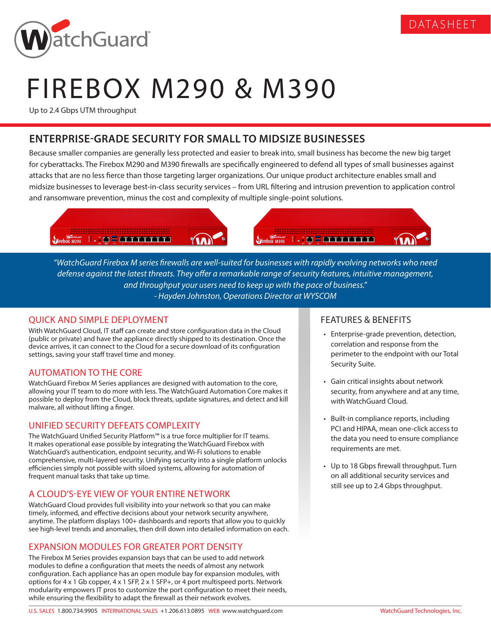

# FIREBOX M290 & M390

Up to 2.4 Gbps UTM throughput

## **ENTERPRISE-GRADE SECURITY FOR SMALL TO MIDSIZE BUSINESSES**

Because smaller companies are generally less protected and easier to break into, small business has become the new big target for cyberattacks. The Firebox M290 and M390 firewalls are specifically engineered to defend all types of small businesses against attacks that are no less fierce than those targeting larger organizations. Our unique product architecture enables small and midsize businesses to leverage best-in-class security services – from URL filtering and intrusion prevention to application control and ransomware prevention, minus the cost and complexity of multiple single-point solutions.



*"WatchGuard Firebox M series firewalls are well-suited for businesses with rapidly evolving networks who need defense against the latest threats. They offer a remarkable range of security features, intuitive management, and throughput your users need to keep up with the pace of business." - Hayden Johnston, Operations Director at WYSCOM*

## QUICK AND SIMPLE DEPLOYMENT

With WatchGuard Cloud, IT staff can create and store configuration data in the Cloud (public or private) and have the appliance directly shipped to its destination. Once the device arrives, it can connect to the Cloud for a secure download of its configuration settings, saving your staff travel time and money.

## AUTOMATION TO THE CORE

WatchGuard Firebox M Series appliances are designed with automation to the core, allowing your IT team to do more with less. The WatchGuard Automation Core makes it possible to deploy from the Cloud, block threats, update signatures, and detect and kill malware, all without lifting a finger.

## UNIFIED SECURITY DEFEATS COMPLEXITY

The WatchGuard Unified Security Platform™ is a true force multiplier for IT teams. It makes operational ease possible by integrating the WatchGuard Firebox with WatchGuard's authentication, endpoint security, and Wi-Fi solutions to enable comprehensive, multi-layered security. Unifying security into a single platform unlocks efficiencies simply not possible with siloed systems, allowing for automation of frequent manual tasks that take up time.

## A CLOUD'S-EYE VIEW OF YOUR ENTIRE NETWORK

WatchGuard Cloud provides full visibility into your network so that you can make timely, informed, and effective decisions about your network security anywhere, anytime. The platform displays 100+ dashboards and reports that allow you to quickly see high-level trends and anomalies, then drill down into detailed information on each.

## EXPANSION MODULES FOR GREATER PORT DENSITY

The Firebox M Series provides expansion bays that can be used to add network modules to define a configuration that meets the needs of almost any network configuration. Each appliance has an open module bay for expansion modules, with options for 4 x 1 Gb copper, 4 x 1 SFP, 2 x 1 SFP+, or 4 port multispeed ports. Network modularity empowers IT pros to customize the port configuration to meet their needs, while ensuring the flexibility to adapt the firewall as their network evolves.

#### FEATURES & BENEFITS

• Enterprise-grade prevention, detection, correlation and response from the perimeter to the endpoint with our Total Security Suite.

DATASHEET

- Gain critical insights about network security, from anywhere and at any time, with WatchGuard Cloud.
- Built-in compliance reports, including PCI and HIPAA, mean one-click access to the data you need to ensure compliance requirements are met.
- Up to 18 Gbps firewall throughput. Turn on all additional security services and still see up to 2.4 Gbps throughput.